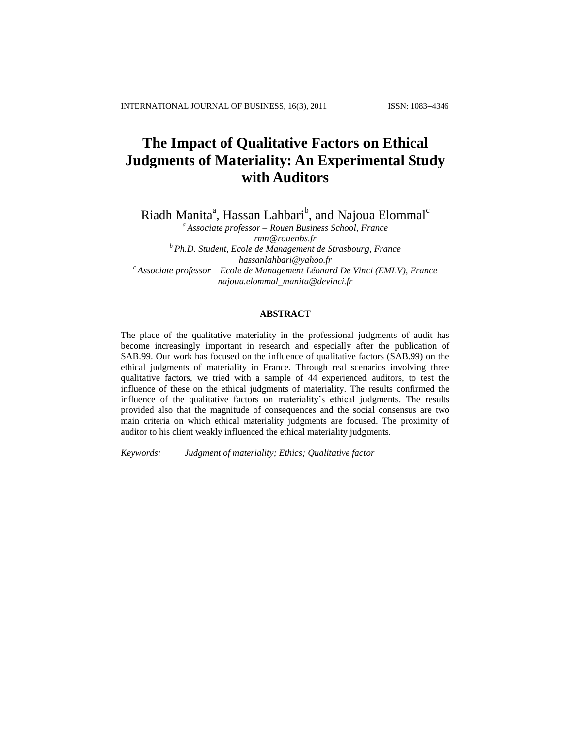# **The Impact of Qualitative Factors on Ethical Judgments of Materiality: An Experimental Study with Auditors**

Riadh Manita<sup>a</sup>, Hassan Lahbari<sup>b</sup>, and Najoua Elommal<sup>c</sup>

*<sup>a</sup> Associate professor – Rouen Business School, France [rmn@rouenbs.fr](mailto:rmn@rouenbs.fr) <sup>b</sup> Ph.D. Student, Ecole de Management de Strasbourg, France [hassanlahbari@yahoo.fr](mailto:hassanlahbari@yahoo.fr) <sup>c</sup> Associate professor – Ecole de Management Léonard De Vinci (EMLV), France [najoua.elommal\\_manita@devinci.fr](javascript:popup_imp()*

# **ABSTRACT**

The place of the qualitative materiality in the professional judgments of audit has become increasingly important in research and especially after the publication of SAB.99. Our work has focused on the influence of qualitative factors (SAB.99) on the ethical judgments of materiality in France. Through real scenarios involving three qualitative factors, we tried with a sample of 44 experienced auditors, to test the influence of these on the ethical judgments of materiality. The results confirmed the influence of the qualitative factors on materiality"s ethical judgments. The results provided also that the magnitude of consequences and the social consensus are two main criteria on which ethical materiality judgments are focused. The proximity of auditor to his client weakly influenced the ethical materiality judgments.

*Keywords: Judgment of materiality; Ethics; Qualitative factor*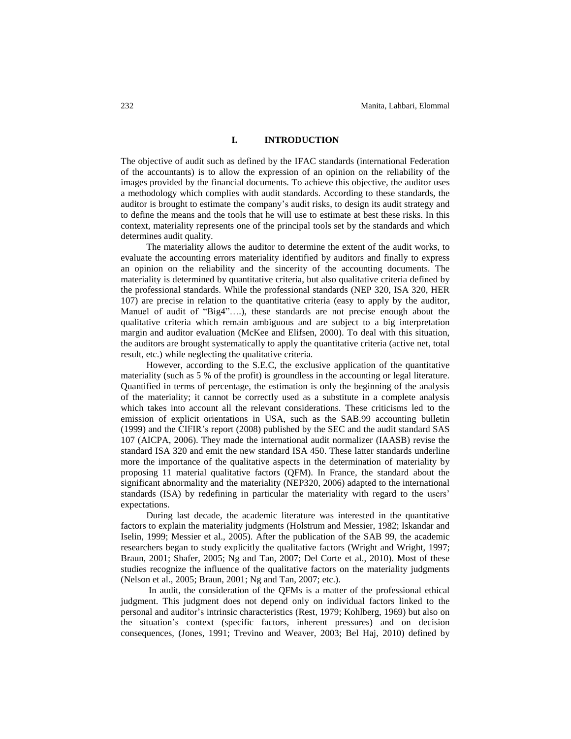## **I. INTRODUCTION**

The objective of audit such as defined by the IFAC standards (international Federation of the accountants) is to allow the expression of an opinion on the reliability of the images provided by the financial documents. To achieve this objective, the auditor uses a methodology which complies with audit standards. According to these standards, the auditor is brought to estimate the company"s audit risks, to design its audit strategy and to define the means and the tools that he will use to estimate at best these risks. In this context, materiality represents one of the principal tools set by the standards and which determines audit quality.

The materiality allows the auditor to determine the extent of the audit works, to evaluate the accounting errors materiality identified by auditors and finally to express an opinion on the reliability and the sincerity of the accounting documents. The materiality is determined by quantitative criteria, but also qualitative criteria defined by the professional standards. While the professional standards (NEP 320, ISA 320, HER 107) are precise in relation to the quantitative criteria (easy to apply by the auditor, Manuel of audit of "Big4"….), these standards are not precise enough about the qualitative criteria which remain ambiguous and are subject to a big interpretation margin and auditor evaluation (McKee and Elifsen, 2000). To deal with this situation, the auditors are brought systematically to apply the quantitative criteria (active net, total result, etc.) while neglecting the qualitative criteria.

However, according to the S.E.C, the exclusive application of the quantitative materiality (such as 5 % of the profit) is groundless in the accounting or legal literature. Quantified in terms of percentage, the estimation is only the beginning of the analysis of the materiality; it cannot be correctly used as a substitute in a complete analysis which takes into account all the relevant considerations. These criticisms led to the emission of explicit orientations in USA, such as the SAB.99 accounting bulletin (1999) and the CIFIR"s report (2008) published by the SEC and the audit standard SAS 107 (AICPA, 2006). They made the international audit normalizer (IAASB) revise the standard ISA 320 and emit the new standard ISA 450. These latter standards underline more the importance of the qualitative aspects in the determination of materiality by proposing 11 material qualitative factors (QFM). In France, the standard about the significant abnormality and the materiality (NEP320, 2006) adapted to the international standards (ISA) by redefining in particular the materiality with regard to the users" expectations.

During last decade, the academic literature was interested in the quantitative factors to explain the materiality judgments (Holstrum and Messier, 1982; Iskandar and Iselin, 1999; Messier et al., 2005). After the publication of the SAB 99, the academic researchers began to study explicitly the qualitative factors (Wright and Wright, 1997; Braun, 2001; Shafer, 2005; Ng and Tan, 2007; Del Corte et al., 2010). Most of these studies recognize the influence of the qualitative factors on the materiality judgments (Nelson et al., 2005; Braun, 2001; Ng and Tan, 2007; etc.).

In audit, the consideration of the QFMs is a matter of the professional ethical judgment. This judgment does not depend only on individual factors linked to the personal and auditor"s intrinsic characteristics (Rest, 1979; Kohlberg, 1969) but also on the situation"s context (specific factors, inherent pressures) and on decision consequences, (Jones, 1991; Trevino and Weaver, 2003; Bel Haj, 2010) defined by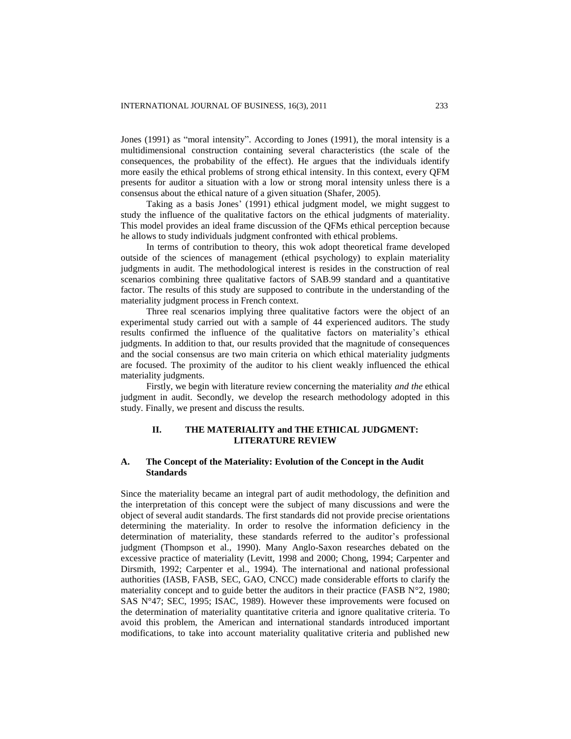Jones (1991) as "moral intensity". According to Jones (1991), the moral intensity is a multidimensional construction containing several characteristics (the scale of the consequences, the probability of the effect). He argues that the individuals identify more easily the ethical problems of strong ethical intensity. In this context, every QFM presents for auditor a situation with a low or strong moral intensity unless there is a consensus about the ethical nature of a given situation (Shafer, 2005).

Taking as a basis Jones" (1991) ethical judgment model, we might suggest to study the influence of the qualitative factors on the ethical judgments of materiality. This model provides an ideal frame discussion of the QFMs ethical perception because he allows to study individuals judgment confronted with ethical problems.

In terms of contribution to theory, this wok adopt theoretical frame developed outside of the sciences of management (ethical psychology) to explain materiality judgments in audit. The methodological interest is resides in the construction of real scenarios combining three qualitative factors of SAB.99 standard and a quantitative factor. The results of this study are supposed to contribute in the understanding of the materiality judgment process in French context.

Three real scenarios implying three qualitative factors were the object of an experimental study carried out with a sample of 44 experienced auditors. The study results confirmed the influence of the qualitative factors on materiality"s ethical judgments. In addition to that, our results provided that the magnitude of consequences and the social consensus are two main criteria on which ethical materiality judgments are focused. The proximity of the auditor to his client weakly influenced the ethical materiality judgments.

Firstly, we begin with literature review concerning the materiality *and the* ethical judgment in audit. Secondly, we develop the research methodology adopted in this study. Finally, we present and discuss the results.

# **II. THE MATERIALITY and THE ETHICAL JUDGMENT: LITERATURE REVIEW**

# **A. The Concept of the Materiality: Evolution of the Concept in the Audit Standards**

Since the materiality became an integral part of audit methodology, the definition and the interpretation of this concept were the subject of many discussions and were the object of several audit standards. The first standards did not provide precise orientations determining the materiality. In order to resolve the information deficiency in the determination of materiality, these standards referred to the auditor"s professional judgment (Thompson et al., 1990). Many Anglo-Saxon researches debated on the excessive practice of materiality (Levitt, 1998 and 2000; Chong, 1994; Carpenter and Dirsmith, 1992; Carpenter et al., 1994). The international and national professional authorities (IASB, FASB, SEC, GAO, CNCC) made considerable efforts to clarify the materiality concept and to guide better the auditors in their practice (FASB N°2, 1980; SAS N°47; SEC, 1995; ISAC, 1989). However these improvements were focused on the determination of materiality quantitative criteria and ignore qualitative criteria. To avoid this problem, the American and international standards introduced important modifications, to take into account materiality qualitative criteria and published new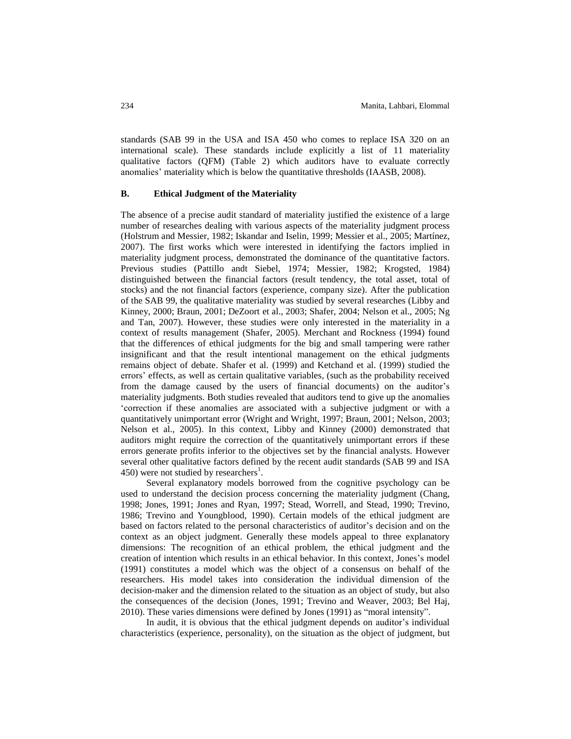standards (SAB 99 in the USA and ISA 450 who comes to replace ISA 320 on an international scale). These standards include explicitly a list of 11 materiality qualitative factors (QFM) (Table 2) which auditors have to evaluate correctly anomalies" materiality which is below the quantitative thresholds (IAASB, 2008).

#### **B. Ethical Judgment of the Materiality**

The absence of a precise audit standard of materiality justified the existence of a large number of researches dealing with various aspects of the materiality judgment process (Holstrum and [Messier, 1982;](http://translate.googleusercontent.com/translate_c?hl=fr&sl=en&u=http://www.emeraldinsight.com/journals.htm%3Farticleid%3D1864318%26show%3Dhtml&prev=/search%3Fq%3Dqualitative%2Bmateriality%2Band%2Bethic%26start%3D10%26hl%3Dfr%26client%3Dfirefox-a%26sa%3DN%26rls%3Dorg.mozilla:fr:official&rurl=translate.google.fr&usg=ALkJrhjwdjTuO34e9XGflreaOWs3kSr1ow#idb25) [Iskandar and](http://translate.googleusercontent.com/translate_c?hl=fr&sl=en&u=http://www.emeraldinsight.com/journals.htm%3Farticleid%3D1864318%26show%3Dhtml&prev=/search%3Fq%3Dqualitative%2Bmateriality%2Band%2Bethic%26start%3D10%26hl%3Dfr%26client%3Dfirefox-a%26sa%3DN%26rls%3Dorg.mozilla:fr:official&rurl=translate.google.fr&usg=ALkJrhjwdjTuO34e9XGflreaOWs3kSr1ow#idb31) Iselin, 1999; [Messier et al.,](http://translate.googleusercontent.com/translate_c?hl=fr&sl=en&u=http://www.emeraldinsight.com/journals.htm%3Farticleid%3D1864318%26show%3Dhtml&prev=/search%3Fq%3Dqualitative%2Bmateriality%2Band%2Bethic%26start%3D10%26hl%3Dfr%26client%3Dfirefox-a%26sa%3DN%26rls%3Dorg.mozilla:fr:official&rurl=translate.google.fr&usg=ALkJrhjwdjTuO34e9XGflreaOWs3kSr1ow#idb38) 2005; [Martínez,](http://translate.googleusercontent.com/translate_c?hl=fr&sl=en&u=http://www.emeraldinsight.com/journals.htm%3Farticleid%3D1864318%26show%3Dhtml&prev=/search%3Fq%3Dqualitative%2Bmateriality%2Band%2Bethic%26start%3D10%26hl%3Dfr%26client%3Dfirefox-a%26sa%3DN%26rls%3Dorg.mozilla:fr:official&rurl=translate.google.fr&usg=ALkJrhjwdjTuO34e9XGflreaOWs3kSr1ow#idb36)  [2007\)](http://translate.googleusercontent.com/translate_c?hl=fr&sl=en&u=http://www.emeraldinsight.com/journals.htm%3Farticleid%3D1864318%26show%3Dhtml&prev=/search%3Fq%3Dqualitative%2Bmateriality%2Band%2Bethic%26start%3D10%26hl%3Dfr%26client%3Dfirefox-a%26sa%3DN%26rls%3Dorg.mozilla:fr:official&rurl=translate.google.fr&usg=ALkJrhjwdjTuO34e9XGflreaOWs3kSr1ow#idb36). The first works which were interested in identifying the factors implied in materiality judgment process, demonstrated the dominance of the quantitative factors. Previous studies (Pattillo andt Siebel, 1974; Messier, 1982; Krogsted, 1984) distinguished between the financial factors (result tendency, the total asset, total of stocks) and the not financial factors (experience, company size). After the publication of the SAB 99, the qualitative materiality was studied by several researches (Libby and Kinney, 2000; Braun, 2001; DeZoort et al., 2003; Shafer, 2004; Nelson et al., 2005; Ng and Tan, 2007). However, these studies were only interested in the materiality in a context of results management (Shafer, 2005). Merchant and Rockness (1994) found that the differences of ethical judgments for the big and small tampering were rather insignificant and that the result intentional management on the ethical judgments remains object of debate. Shafer et al. (1999) and Ketchand et al. (1999) studied the errors" effects, as well as certain qualitative variables, (such as the probability received from the damage caused by the users of financial documents) on the auditor"s materiality judgments. Both studies revealed that auditors tend to give up the anomalies "correction if these anomalies are associated with a subjective judgment or with a quantitatively unimportant error (Wright and Wright, 1997; Braun, 2001; Nelson, 2003; Nelson et al., 2005). In this context, Libby and Kinney (2000) demonstrated that auditors might require the correction of the quantitatively unimportant errors if these errors generate profits inferior to the objectives set by the financial analysts. However several other qualitative factors defined by the recent audit standards (SAB 99 and ISA 450) were not studied by researchers<sup>1</sup>.

Several explanatory models borrowed from the cognitive psychology can be used to understand the decision process concerning the materiality judgment (Chang, 1998; Jones, 1991; Jones and Ryan, 1997; Stead, Worrell, and Stead, 1990; Trevino, 1986; Trevino and Youngblood, 1990). Certain models of the ethical judgment are based on factors related to the personal characteristics of auditor"s decision and on the context as an object judgment. Generally these models appeal to three explanatory dimensions: The recognition of an ethical problem, the ethical judgment and the creation of intention which results in an ethical behavior. In this context, Jones"s model (1991) constitutes a model which was the object of a consensus on behalf of the researchers. His model takes into consideration the individual dimension of the decision-maker and the dimension related to the situation as an object of study, but also the consequences of the decision (Jones, 1991; Trevino and Weaver, 2003; Bel Haj, 2010). These varies dimensions were defined by Jones (1991) as "moral intensity".

In audit, it is obvious that the ethical judgment depends on auditor"s individual characteristics (experience, personality), on the situation as the object of judgment, but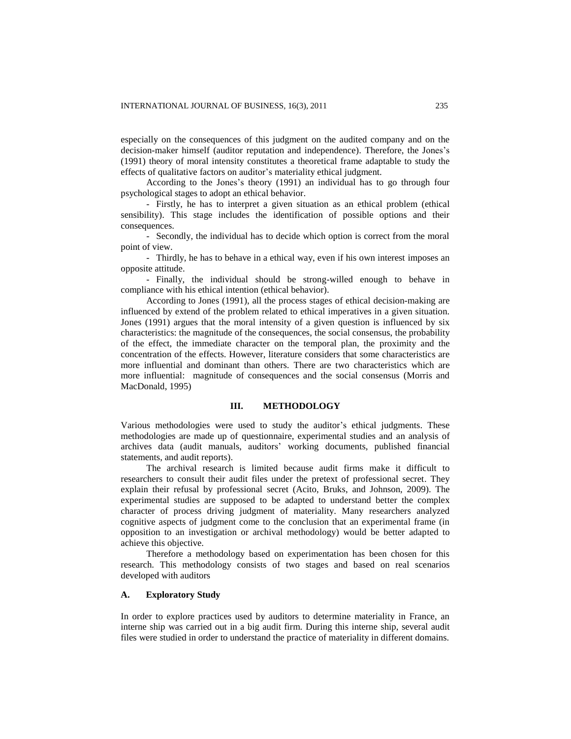especially on the consequences of this judgment on the audited company and on the decision-maker himself (auditor reputation and independence). Therefore, the Jones"s (1991) theory of moral intensity constitutes a theoretical frame adaptable to study the effects of qualitative factors on auditor"s materiality ethical judgment.

According to the Jones"s theory (1991) an individual has to go through four psychological stages to adopt an ethical behavior.

- Firstly, he has to interpret a given situation as an ethical problem (ethical sensibility). This stage includes the identification of possible options and their consequences.

- Secondly, the individual has to decide which option is correct from the moral point of view.

- Thirdly, he has to behave in a ethical way, even if his own interest imposes an opposite attitude.

- Finally, the individual should be strong-willed enough to behave in compliance with his ethical intention (ethical behavior).

According to Jones (1991), all the process stages of ethical decision-making are influenced by extend of the problem related to ethical imperatives in a given situation. Jones (1991) argues that the moral intensity of a given question is influenced by six characteristics: the magnitude of the consequences, the social consensus, the probability of the effect, the immediate character on the temporal plan, the proximity and the concentration of the effects. However, literature considers that some characteristics are more influential and dominant than others. There are two characteristics which are more influential: magnitude of consequences and the social consensus (Morris and MacDonald, 1995)

#### **III. METHODOLOGY**

Various methodologies were used to study the auditor's ethical judgments. These methodologies are made up of questionnaire, experimental studies and an analysis of archives data (audit manuals, auditors" working documents, published financial statements, and audit reports).

The archival research is limited because audit firms make it difficult to researchers to consult their audit files under the pretext of professional secret. They explain their refusal by professional secret (Acito, Bruks, and Johnson, 2009). The experimental studies are supposed to be adapted to understand better the complex character of process driving judgment of materiality. Many researchers analyzed cognitive aspects of judgment come to the conclusion that an experimental frame (in opposition to an investigation or archival methodology) would be better adapted to achieve this objective.

Therefore a methodology based on experimentation has been chosen for this research. This methodology consists of two stages and based on real scenarios developed with auditors

## **A. Exploratory Study**

In order to explore practices used by auditors to determine materiality in France, an interne ship was carried out in a big audit firm. During this interne ship, several audit files were studied in order to understand the practice of materiality in different domains.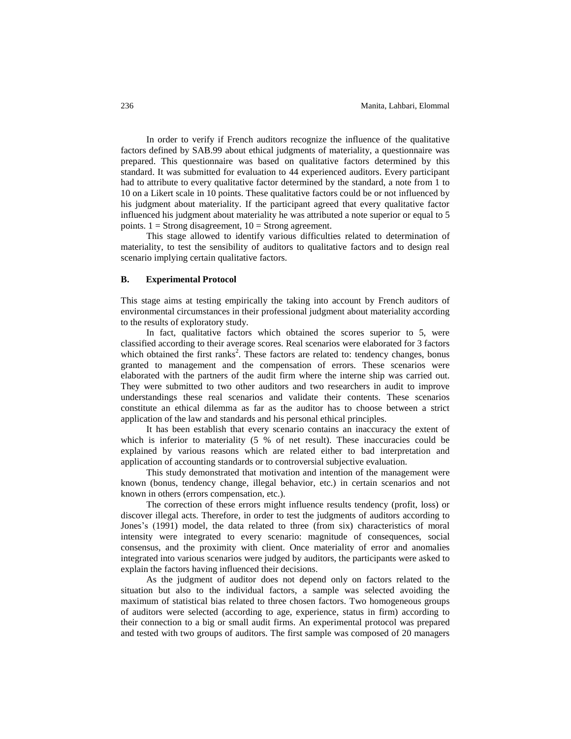In order to verify if French auditors recognize the influence of the qualitative factors defined by SAB.99 about ethical judgments of materiality, a questionnaire was prepared. This questionnaire was based on qualitative factors determined by this standard. It was submitted for evaluation to 44 experienced auditors. Every participant had to attribute to every qualitative factor determined by the standard, a note from 1 to 10 on a Likert scale in 10 points. These qualitative factors could be or not influenced by his judgment about materiality. If the participant agreed that every qualitative factor influenced his judgment about materiality he was attributed a note superior or equal to 5 points.  $1 =$  Strong disagreement,  $10 =$  Strong agreement.

This stage allowed to identify various difficulties related to determination of materiality, to test the sensibility of auditors to qualitative factors and to design real scenario implying certain qualitative factors.

#### **B. Experimental Protocol**

This stage aims at testing empirically the taking into account by French auditors of environmental circumstances in their professional judgment about materiality according to the results of exploratory study.

In fact, qualitative factors which obtained the scores superior to 5, were classified according to their average scores. Real scenarios were elaborated for 3 factors which obtained the first ranks<sup>2</sup>. These factors are related to: tendency changes, bonus granted to management and the compensation of errors. These scenarios were elaborated with the partners of the audit firm where the interne ship was carried out. They were submitted to two other auditors and two researchers in audit to improve understandings these real scenarios and validate their contents. These scenarios constitute an ethical dilemma as far as the auditor has to choose between a strict application of the law and standards and his personal ethical principles.

It has been establish that every scenario contains an inaccuracy the extent of which is inferior to materiality (5 % of net result). These inaccuracies could be explained by various reasons which are related either to bad interpretation and application of accounting standards or to controversial subjective evaluation.

This study demonstrated that motivation and intention of the management were known (bonus, tendency change, illegal behavior, etc.) in certain scenarios and not known in others (errors compensation, etc.).

The correction of these errors might influence results tendency (profit, loss) or discover illegal acts. Therefore, in order to test the judgments of auditors according to Jones"s (1991) model, the data related to three (from six) characteristics of moral intensity were integrated to every scenario: magnitude of consequences, social consensus, and the proximity with client. Once materiality of error and anomalies integrated into various scenarios were judged by auditors, the participants were asked to explain the factors having influenced their decisions.

As the judgment of auditor does not depend only on factors related to the situation but also to the individual factors, a sample was selected avoiding the maximum of statistical bias related to three chosen factors. Two homogeneous groups of auditors were selected (according to age, experience, status in firm) according to their connection to a big or small audit firms. An experimental protocol was prepared and tested with two groups of auditors. The first sample was composed of 20 managers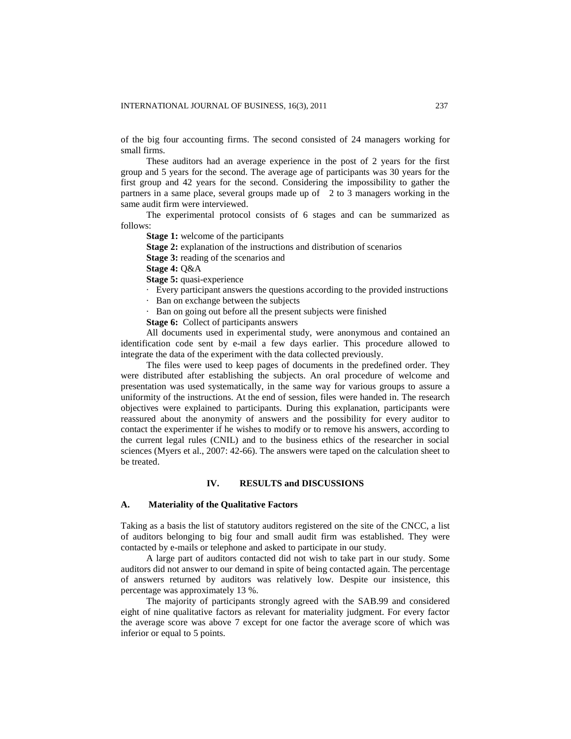of the big four accounting firms. The second consisted of 24 managers working for small firms.

These auditors had an average experience in the post of 2 years for the first group and 5 years for the second. The average age of participants was 30 years for the first group and 42 years for the second. Considering the impossibility to gather the partners in a same place, several groups made up of 2 to 3 managers working in the same audit firm were interviewed.

The experimental protocol consists of 6 stages and can be summarized as follows:

**Stage 1:** welcome of the participants

**Stage 2:** explanation of the instructions and distribution of scenarios

**Stage 3:** reading of the scenarios and

**Stage 4:** Q&A

**Stage 5:** quasi-experience

· Every participant answers the questions according to the provided instructions

· Ban on exchange between the subjects

· Ban on going out before all the present subjects were finished

**Stage 6:** Collect of participants answers

All documents used in experimental study, were anonymous and contained an identification code sent by e-mail a few days earlier. This procedure allowed to integrate the data of the experiment with the data collected previously.

The files were used to keep pages of documents in the predefined order. They were distributed after establishing the subjects. An oral procedure of welcome and presentation was used systematically, in the same way for various groups to assure a uniformity of the instructions. At the end of session, files were handed in. The research objectives were explained to participants. During this explanation, participants were reassured about the anonymity of answers and the possibility for every auditor to contact the experimenter if he wishes to modify or to remove his answers, according to the current legal rules (CNIL) and to the business ethics of the researcher in social sciences (Myers et al., 2007: 42-66). The answers were taped on the calculation sheet to be treated.

## **IV. RESULTS and DISCUSSIONS**

#### **A. Materiality of the Qualitative Factors**

Taking as a basis the list of statutory auditors registered on the site of the CNCC, a list of auditors belonging to big four and small audit firm was established. They were contacted by e-mails or telephone and asked to participate in our study.

A large part of auditors contacted did not wish to take part in our study. Some auditors did not answer to our demand in spite of being contacted again. The percentage of answers returned by auditors was relatively low. Despite our insistence, this percentage was approximately 13 %.

The majority of participants strongly agreed with the SAB.99 and considered eight of nine qualitative factors as relevant for materiality judgment. For every factor the average score was above 7 except for one factor the average score of which was inferior or equal to 5 points.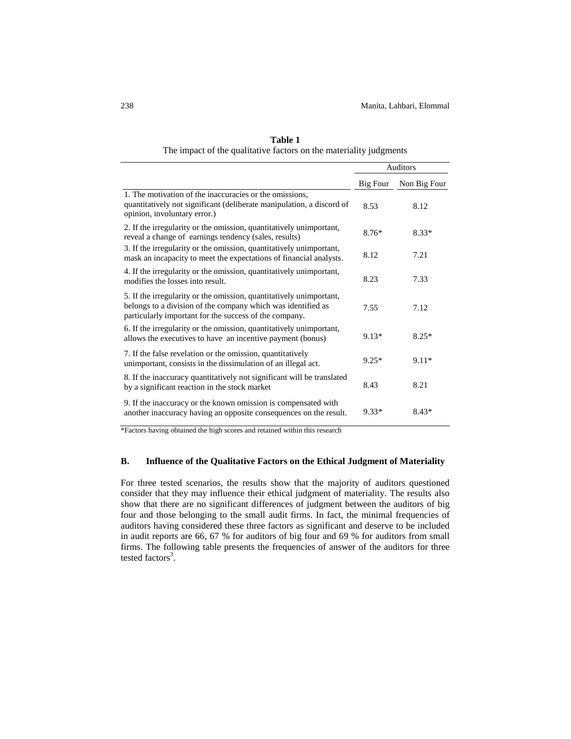|                                                                                                                                                                                               | <b>Auditors</b> |              |
|-----------------------------------------------------------------------------------------------------------------------------------------------------------------------------------------------|-----------------|--------------|
|                                                                                                                                                                                               | Big Four        | Non Big Four |
| 1. The motivation of the inaccuracies or the omissions,<br>quantitatively not significant (deliberate manipulation, a discord of<br>opinion, involuntary error.)                              | 8.53            | 8.12         |
| 2. If the irregularity or the omission, quantitatively unimportant,<br>reveal a change of earnings tendency (sales, results)                                                                  | $8.76*$         | $8.33*$      |
| 3. If the irregularity or the omission, quantitatively unimportant,<br>mask an incapacity to meet the expectations of financial analysts.                                                     | 8.12            | 7.21         |
| 4. If the irregularity or the omission, quantitatively unimportant,<br>modifies the losses into result.                                                                                       | 8.23            | 7.33         |
| 5. If the irregularity or the omission, quantitatively unimportant,<br>belongs to a division of the company which was identified as<br>particularly important for the success of the company. | 7.55            | 7.12         |
| 6. If the irregularity or the omission, quantitatively unimportant,<br>allows the executives to have an incentive payment (bonus)                                                             | $9.13*$         | $8.25*$      |
| 7. If the false revelation or the omission, quantitatively<br>unimportant, consists in the dissimulation of an illegal act.                                                                   | $9.25*$         | $9.11*$      |
| 8. If the inaccuracy quantitatively not significant will be translated<br>by a significant reaction in the stock market                                                                       | 8.43            | 8.21         |
| 9. If the inaccuracy or the known omission is compensated with<br>another inaccuracy having an opposite consequences on the result.                                                           | $9.33*$         | $8.43*$      |

**Table 1** The impact of the qualitative factors on the materiality judgments

\*Factors having obtained the high scores and retained within this research

# **B. Influence of the Qualitative Factors on the Ethical Judgment of Materiality**

For three tested scenarios, the results show that the majority of auditors questioned consider that they may influence their ethical judgment of materiality. The results also show that there are no significant differences of judgment between the auditors of big four and those belonging to the small audit firms. In fact, the minimal frequencies of auditors having considered these three factors as significant and deserve to be included in audit reports are 66, 67 % for auditors of big four and 69 % for auditors from small firms. The following table presents the frequencies of answer of the auditors for three tested factors<sup>3</sup>.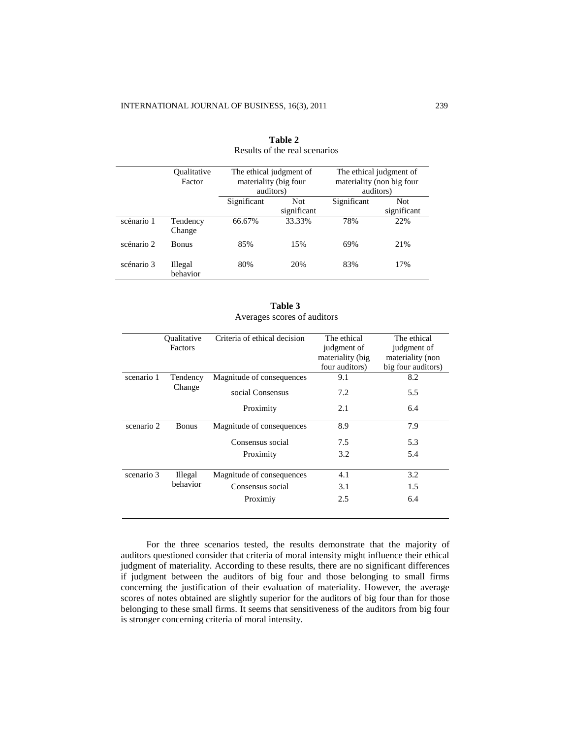|            | <b>Oualitative</b>         | The ethical judgment of |             | The ethical judgment of   |             |
|------------|----------------------------|-------------------------|-------------|---------------------------|-------------|
|            | Factor                     | materiality (big four   |             | materiality (non big four |             |
|            |                            | auditors)               |             | auditors)                 |             |
|            |                            | Significant             | <b>Not</b>  | Significant               | <b>Not</b>  |
|            |                            |                         | significant |                           | significant |
| scénario 1 | Tendency<br>Change         | 66.67%                  | 33.33%      | 78%                       | 22%         |
| scénario 2 | <b>Bonus</b>               | 85%                     | 15%         | 69%                       | 21%         |
| scénario 3 | <b>Illegal</b><br>behavior | 80%                     | 20%         | 83%                       | 17%         |

**Table 2** Results of the real scenarios

| Table 3                     |  |
|-----------------------------|--|
| Averages scores of auditors |  |

|            | <b>Oualitative</b><br>Factors | Criteria of ethical decision | The ethical<br>judgment of<br>materiality (big) | The ethical<br>judgment of<br>materiality (non |
|------------|-------------------------------|------------------------------|-------------------------------------------------|------------------------------------------------|
|            |                               |                              | four auditors)                                  | big four auditors)                             |
| scenario 1 | Tendency                      | Magnitude of consequences    | 9.1                                             | 8.2                                            |
|            | Change                        | social Consensus             | 7.2                                             | 5.5                                            |
|            |                               | Proximity                    | 2.1                                             | 6.4                                            |
| scenario 2 | <b>Bonus</b>                  | Magnitude of consequences    | 8.9                                             | 7.9                                            |
|            |                               | Consensus social             | 7.5                                             | 5.3                                            |
|            |                               | Proximity                    | 3.2                                             | 5.4                                            |
| scenario 3 | <b>Illegal</b><br>behavior    | Magnitude of consequences    | 4.1                                             | 3.2                                            |
|            |                               | Consensus social             | 3.1                                             | 1.5                                            |
|            |                               | Proximiy                     | 2.5                                             | 6.4                                            |

For the three scenarios tested, the results demonstrate that the majority of auditors questioned consider that criteria of moral intensity might influence their ethical judgment of materiality. According to these results, there are no significant differences if judgment between the auditors of big four and those belonging to small firms concerning the justification of their evaluation of materiality. However, the average scores of notes obtained are slightly superior for the auditors of big four than for those belonging to these small firms. It seems that sensitiveness of the auditors from big four is stronger concerning criteria of moral intensity.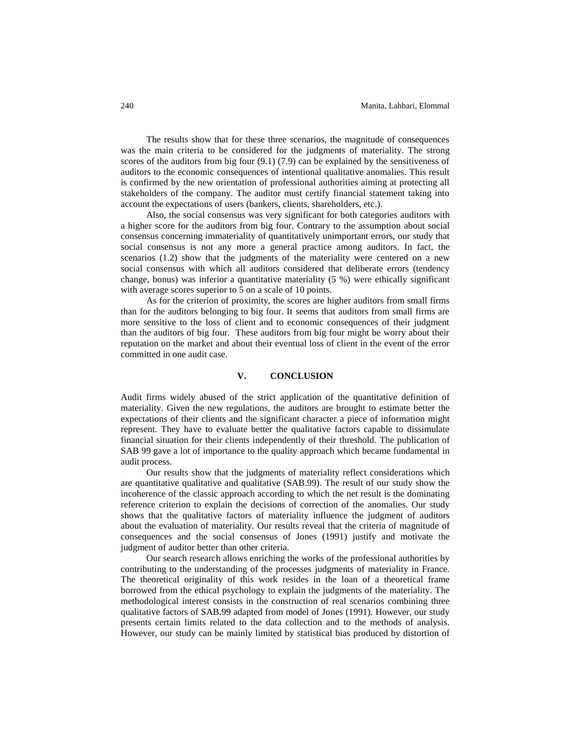The results show that for these three scenarios, the magnitude of consequences was the main criteria to be considered for the judgments of materiality. The strong scores of the auditors from big four (9.1) (7.9) can be explained by the sensitiveness of auditors to the economic consequences of intentional qualitative anomalies. This result is confirmed by the new orientation of professional authorities aiming at protecting all stakeholders of the company. The auditor must certify financial statement taking into account the expectations of users (bankers, clients, shareholders, etc.).

Also, the social consensus was very significant for both categories auditors with a higher score for the auditors from big four. Contrary to the assumption about social consensus concerning immateriality of quantitatively unimportant errors, our study that social consensus is not any more a general practice among auditors. In fact, the scenarios (1.2) show that the judgments of the materiality were centered on a new social consensus with which all auditors considered that deliberate errors (tendency change, bonus) was inferior a quantitative materiality (5 %) were ethically significant with average scores superior to 5 on a scale of 10 points.

As for the criterion of proximity, the scores are higher auditors from small firms than for the auditors belonging to big four. It seems that auditors from small firms are more sensitive to the loss of client and to economic consequences of their judgment than the auditors of big four. These auditors from big four might be worry about their reputation on the market and about their eventual loss of client in the event of the error committed in one audit case.

## **V. CONCLUSION**

Audit firms widely abused of the strict application of the quantitative definition of materiality. Given the new regulations, the auditors are brought to estimate better the expectations of their clients and the significant character a piece of information might represent. They have to evaluate better the qualitative factors capable to dissimulate financial situation for their clients independently of their threshold. The publication of SAB 99 gave a lot of importance to the quality approach which became fundamental in audit process.

Our results show that the judgments of materiality reflect considerations which are quantitative qualitative and qualitative (SAB.99). The result of our study show the incoherence of the classic approach according to which the net result is the dominating reference criterion to explain the decisions of correction of the anomalies. Our study shows that the qualitative factors of materiality influence the judgment of auditors about the evaluation of materiality. Our results reveal that the criteria of magnitude of consequences and the social consensus of Jones (1991) justify and motivate the judgment of auditor better than other criteria.

Our search research allows enriching the works of the professional authorities by contributing to the understanding of the processes judgments of materiality in France. The theoretical originality of this work resides in the loan of a theoretical frame borrowed from the ethical psychology to explain the judgments of the materiality. The methodological interest consists in the construction of real scenarios combining three qualitative factors of SAB.99 adapted from model of Jones (1991). However, our study presents certain limits related to the data collection and to the methods of analysis. However, our study can be mainly limited by statistical bias produced by distortion of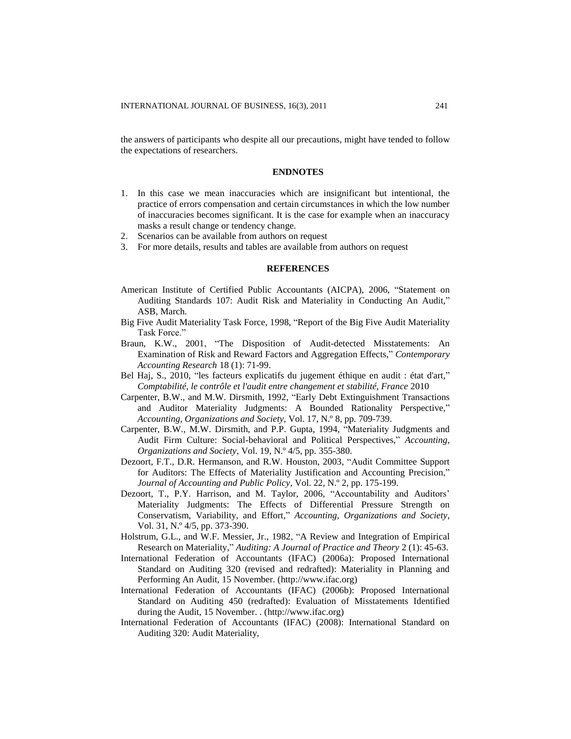the answers of participants who despite all our precautions, might have tended to follow the expectations of researchers.

#### **ENDNOTES**

- 1. In this case we mean inaccuracies which are insignificant but intentional, the practice of errors compensation and certain circumstances in which the low number of inaccuracies becomes significant. It is the case for example when an inaccuracy masks a result change or tendency change.
- 2. Scenarios can be available from authors on request
- 3. For more details, results and tables are available from authors on request

### **REFERENCES**

- American Institute of Certified Public Accountants (AICPA), 2006, "Statement on Auditing Standards 107: Audit Risk and Materiality in Conducting An Audit," ASB, March.
- Big Five Audit Materiality Task Force, 1998, "Report of the Big Five Audit Materiality Task Force."
- Braun, K.W., 2001, "The Disposition of Audit-detected Misstatements: An Examination of Risk and Reward Factors and Aggregation Effects," *Contemporary Accounting Research* 18 (1): 71-99.
- Bel Haj, S., 2010, "les facteurs explicatifs du jugement éthique en audit : état d'art," *Comptabilité, le contrôle et l'audit entre changement et stabilité, France* 2010
- Carpenter, B.W., and M.W. Dirsmith, 1992, "Early Debt Extinguishment Transactions and Auditor Materiality Judgments: A Bounded Rationality Perspective," *Accounting, Organizations and Society,* Vol. 17, N.º 8, pp*.* 709-739.
- Carpenter, B.W., M.W. Dirsmith, and P.P. Gupta, 1994, "Materiality Judgments and Audit Firm Culture: Social-behavioral and Political Perspectives," *Accounting, Organizations and Society*, Vol. 19, N.º 4/5, pp*.* 355-380.
- Dezoort, F.T., D.R. Hermanson, and R.W. Houston, 2003, "Audit Committee Support for Auditors: The Effects of Materiality Justification and Accounting Precision," *Journal of Accounting and Public Policy*, Vol. 22, N.º 2, pp. 175-199.
- Dezoort, T., P.Y. Harrison, and M. Taylor, 2006, "Accountability and Auditors' Materiality Judgments: The Effects of Differential Pressure Strength on Conservatism, Variability, and Effort," *Accounting, Organizations and Society*, Vol. 31, N.º 4/5, pp. 373-390.
- Holstrum, G.L., and W.F. Messier, Jr., 1982, "A Review and Integration of Empirical Research on Materiality," *Auditing: A Journal of Practice and Theory* 2 (1): 45-63.
- International Federation of Accountants (IFAC) (2006a): Proposed International Standard on Auditing 320 (revised and redrafted): Materiality in Planning and Performing An Audit, 15 November. [\(http://www.ifac.org\)](http://www.ifac.org/)
- International Federation of Accountants (IFAC) (2006b): Proposed International Standard on Auditing 450 (redrafted): Evaluation of Misstatements Identified during the Audit, 15 November. . [\(http://www.ifac.org\)](http://www.ifac.org/)
- International Federation of Accountants (IFAC) (2008): International Standard on Auditing 320: Audit Materiality,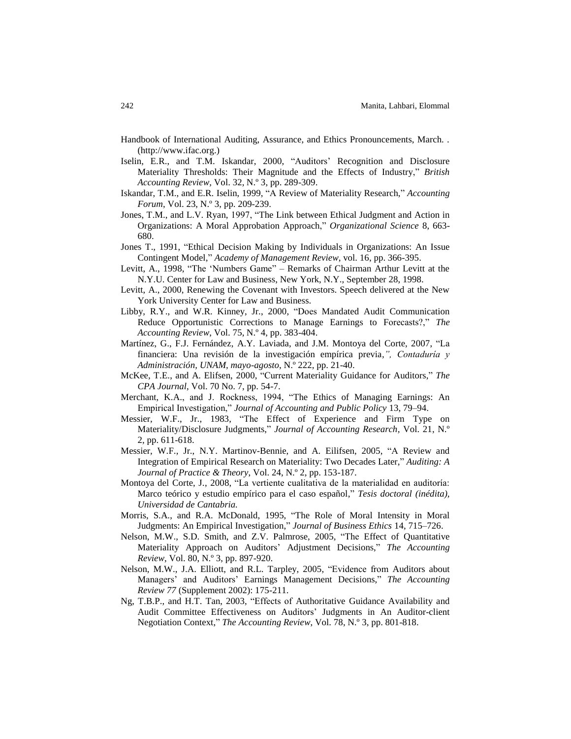- Handbook of International Auditing, Assurance, and Ethics Pronouncements, March. . [\(http://www.ifac.org.](http://www.ifac.org/))
- Iselin, E.R., and T.M. Iskandar, 2000, "Auditors" Recognition and Disclosure Materiality Thresholds: Their Magnitude and the Effects of Industry," *British Accounting Review,* Vol. 32, N.º 3, pp. 289-309.
- Iskandar, T.M., and E.R. Iselin, 1999, "A Review of Materiality Research," *Accounting Forum*, Vol. 23, N.º 3, pp. 209-239.
- Jones, T.M., and L.V. Ryan, 1997, "The Link between Ethical Judgment and Action in Organizations: A Moral Approbation Approach," *Organizational Science* 8, 663- 680.
- Jones T., 1991, "Ethical Decision Making by Individuals in Organizations: An Issue Contingent Model," *Academy of Management Review*, vol. 16, pp. 366-395.
- Levitt, A., 1998, "The "Numbers Game" Remarks of Chairman Arthur Levitt at the N.Y.U. Center for Law and Business, New York, N.Y., September 28, 1998.
- Levitt, A., 2000, Renewing the Covenant with Investors. Speech delivered at the New York University Center for Law and Business.
- Libby, R.Y., and W.R. Kinney, Jr., 2000, "Does Mandated Audit Communication Reduce Opportunistic Corrections to Manage Earnings to Forecasts?," *The Accounting Review*, Vol. 75, N.º 4, pp. 383-404.
- Martínez, G., F.J. Fernández, A.Y. Laviada, and J.M. Montoya del Corte, 2007, "La financiera: Una revisión de la investigación empírica previa*,", Contaduría y Administración, UNAM, mayo-agosto*, N.º 222, pp. 21-40.
- McKee, T.E., and A. Elifsen, 2000, "Current Materiality Guidance for Auditors," *The CPA Journal*, Vol. 70 No. 7, pp. 54-7.
- Merchant, K.A., and J. Rockness, 1994, "The Ethics of Managing Earnings: An Empirical Investigation," *Journal of Accounting and Public Policy* 13, 79–94.
- Messier, W.F., Jr., 1983, "The Effect of Experience and Firm Type on Materiality/Disclosure Judgments," *Journal of Accounting Research,* Vol. 21, N.º 2, pp. 611-618.
- Messier, W.F., Jr., N.Y. Martinov-Bennie, and A. Eilifsen, 2005, "A Review and Integration of Empirical Research on Materiality: Two Decades Later," *Auditing: A Journal of Practice & Theory*, Vol. 24, N.º 2, pp. 153-187.
- Montoya del Corte, J., 2008, "La vertiente cualitativa de la materialidad en auditoría: Marco teórico y estudio empírico para el caso español," *Tesis doctoral (inédita), Universidad de Cantabria.*
- Morris, S.A., and R.A. McDonald, 1995, "The Role of Moral Intensity in Moral Judgments: An Empirical Investigation," *Journal of Business Ethics* 14, 715–726.
- Nelson, M.W., S.D. Smith, and Z.V. Palmrose, 2005, "The Effect of Quantitative Materiality Approach on Auditors" Adjustment Decisions," *The Accounting Review*, Vol. 80, N.º 3, pp. 897-920.
- Nelson, M.W., J.A. Elliott, and R.L. Tarpley, 2005, "Evidence from Auditors about Managers" and Auditors" Earnings Management Decisions," *The Accounting Review 77* (Supplement 2002): 175-211.
- Ng, T.B.P., and H.T. Tan, 2003, "Effects of Authoritative Guidance Availability and Audit Committee Effectiveness on Auditors" Judgments in An Auditor-client Negotiation Context," *The Accounting Review*, Vol. 78, N.º 3, pp. 801-818.